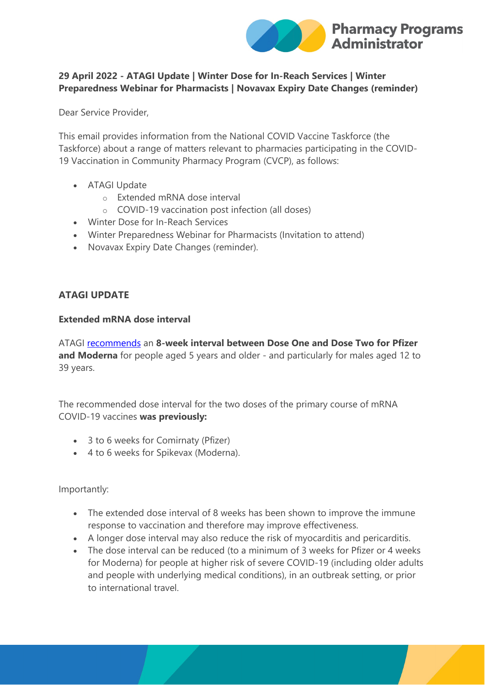

# **29 April 2022 - ATAGI Update | Winter Dose for In-Reach Services | Winter Preparedness Webinar for Pharmacists | Novavax Expiry Date Changes (reminder)**

Dear Service Provider,

This email provides information from the National COVID Vaccine Taskforce (the Taskforce) about a range of matters relevant to pharmacies participating in the COVID-19 Vaccination in Community Pharmacy Program (CVCP), as follows:

- ATAGI Update
	- o Extended mRNA dose interval
	- o COVID-19 vaccination post infection (all doses)
- Winter Dose for In-Reach Services
- Winter Preparedness Webinar for Pharmacists (Invitation to attend)
- Novavax Expiry Date Changes (reminder).

# **ATAGI UPDATE**

# **Extended mRNA dose interval**

ATAGI [recommends](https://protect-au.mimecast.com/s/thLACp81A2UxMrytDzoRx?domain=health.gov.au) an **8-week interval between Dose One and Dose Two for Pfizer and Moderna** for people aged 5 years and older - and particularly for males aged 12 to 39 years.

The recommended dose interval for the two doses of the primary course of mRNA COVID-19 vaccines **was previously:**

- 3 to 6 weeks for Comirnaty (Pfizer)
- 4 to 6 weeks for Spikevax (Moderna).

Importantly:

- The extended dose interval of 8 weeks has been shown to improve the immune response to vaccination and therefore may improve effectiveness.
- A longer dose interval may also reduce the risk of myocarditis and pericarditis.
- The dose interval can be reduced (to a minimum of 3 weeks for Pfizer or 4 weeks for Moderna) for people at higher risk of severe COVID-19 (including older adults and people with underlying medical conditions), in an outbreak setting, or prior to international travel.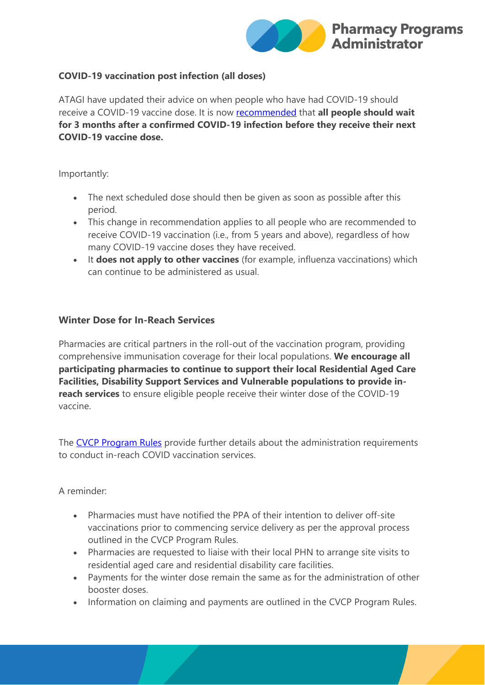

### **COVID-19 vaccination post infection (all doses)**

ATAGI have updated their advice on when people who have had COVID-19 should receive a COVID-19 vaccine dose. It is now [recommended](https://protect-au.mimecast.com/s/thLACp81A2UxMrytDzoRx?domain=health.gov.au) that **all people should wait for 3 months after a confirmed COVID-19 infection before they receive their next COVID-19 vaccine dose.**

#### Importantly:

- The next scheduled dose should then be given as soon as possible after this period.
- This change in recommendation applies to all people who are recommended to receive COVID-19 vaccination (i.e., from 5 years and above), regardless of how many COVID-19 vaccine doses they have received.
- It **does not apply to other vaccines** (for example, influenza vaccinations) which can continue to be administered as usual.

# **Winter Dose for In-Reach Services**

Pharmacies are critical partners in the roll-out of the vaccination program, providing comprehensive immunisation coverage for their local populations. **We encourage all participating pharmacies to continue to support their local Residential Aged Care Facilities, Disability Support Services and Vulnerable populations to provide inreach services** to ensure eligible people receive their winter dose of the COVID-19 vaccine.

The [CVCP Program Rules](https://protect-au.mimecast.com/s/Ub3gCq71BZf70ARtQRUtB?domain=ppaonline.com.au) provide further details about the administration requirements to conduct in-reach COVID vaccination services.

### A reminder:

- Pharmacies must have notified the PPA of their intention to deliver off-site vaccinations prior to commencing service delivery as per the approval process outlined in the CVCP Program Rules.
- Pharmacies are requested to liaise with their local PHN to arrange site visits to residential aged care and residential disability care facilities.
- Payments for the winter dose remain the same as for the administration of other booster doses.
- Information on claiming and payments are outlined in the CVCP Program Rules.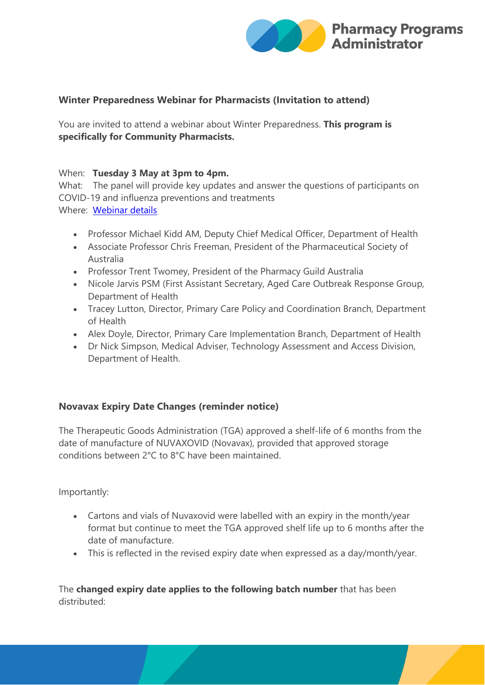

# **Winter Preparedness Webinar for Pharmacists (Invitation to attend)**

You are invited to attend a webinar about Winter Preparedness. **This program is specifically for Community Pharmacists.**

#### When: **Tuesday 3 May at 3pm to 4pm.**

What: The panel will provide key updates and answer the questions of participants on COVID-19 and influenza preventions and treatments Where: [Webinar details](https://protect-au.mimecast.com/s/e1tICr81D9UDVK6hycHUj?domain=health.gov.au)

- Professor Michael Kidd AM, Deputy Chief Medical Officer, Department of Health
- Associate Professor Chris Freeman, President of the Pharmaceutical Society of Australia
- Professor Trent Twomey, President of the Pharmacy Guild Australia
- Nicole Jarvis PSM (First Assistant Secretary, Aged Care Outbreak Response Group, Department of Health
- Tracey Lutton, Director, Primary Care Policy and Coordination Branch, Department of Health
- Alex Doyle, Director, Primary Care Implementation Branch, Department of Health
- Dr Nick Simpson, Medical Adviser, Technology Assessment and Access Division, Department of Health.

### **Novavax Expiry Date Changes (reminder notice)**

The Therapeutic Goods Administration (TGA) approved a shelf-life of 6 months from the date of manufacture of NUVAXOVID (Novavax), provided that approved storage conditions between 2°C to 8°C have been maintained.

Importantly:

- Cartons and vials of Nuvaxovid were labelled with an expiry in the month/year format but continue to meet the TGA approved shelf life up to 6 months after the date of manufacture.
- This is reflected in the revised expiry date when expressed as a day/month/year.

The **changed expiry date applies to the following batch number** that has been distributed: